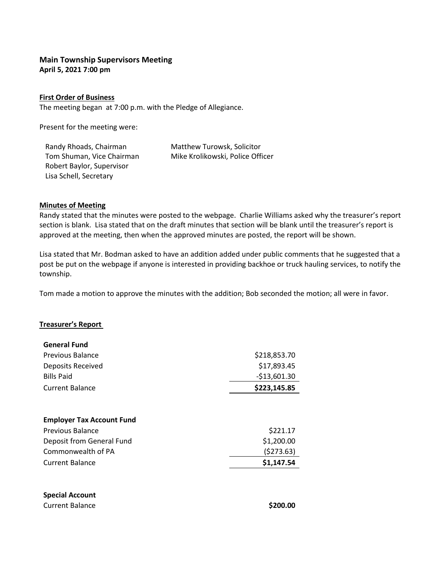# **Main Township Supervisors Meeting April 5, 2021 7:00 pm**

### **First Order of Business**

The meeting began at 7:00 p.m. with the Pledge of Allegiance.

Present for the meeting were:

Randy Rhoads, Chairman Matthew Turowsk, Solicitor Robert Baylor, Supervisor Lisa Schell, Secretary

Tom Shuman, Vice Chairman Mike Krolikowski, Police Officer

### **Minutes of Meeting**

Randy stated that the minutes were posted to the webpage. Charlie Williams asked why the treasurer's report section is blank. Lisa stated that on the draft minutes that section will be blank until the treasurer's report is approved at the meeting, then when the approved minutes are posted, the report will be shown.

Lisa stated that Mr. Bodman asked to have an addition added under public comments that he suggested that a post be put on the webpage if anyone is interested in providing backhoe or truck hauling services, to notify the township.

Tom made a motion to approve the minutes with the addition; Bob seconded the motion; all were in favor.

# **Treasurer's Report**

| <b>General Fund</b>              |               |
|----------------------------------|---------------|
| Previous Balance                 | \$218,853.70  |
| Deposits Received                | \$17,893.45   |
| <b>Bills Paid</b>                | $-$13,601.30$ |
| Current Balance                  | \$223,145.85  |
| <b>Employer Tax Account Fund</b> |               |
| <b>Previous Balance</b>          | \$221.17      |
| Deposit from General Fund        | \$1,200.00    |
| Commonwealth of PA               | (5273.63)     |
| Current Balance                  | \$1,147.54    |
|                                  |               |
|                                  |               |

# **Special Account Current Balance \$200.00**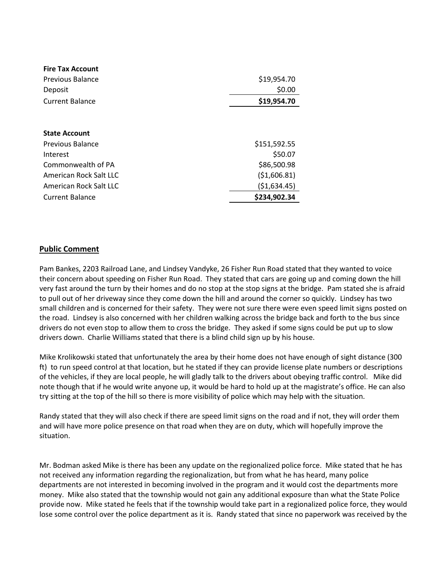| <b>Fire Tax Account</b> |               |
|-------------------------|---------------|
| Previous Balance        | \$19,954.70   |
| Deposit                 | \$0.00        |
| <b>Current Balance</b>  | \$19,954.70   |
|                         |               |
| <b>State Account</b>    |               |
| Previous Balance        | \$151,592.55  |
| Interest                | \$50.07       |
| Commonwealth of PA      | \$86,500.98   |
| American Rock Salt LLC  | (51,606.81)   |
| American Rock Salt LLC  | ( \$1,634.45) |
| <b>Current Balance</b>  | \$234,902.34  |

# **Public Comment**

Pam Bankes, 2203 Railroad Lane, and Lindsey Vandyke, 26 Fisher Run Road stated that they wanted to voice their concern about speeding on Fisher Run Road. They stated that cars are going up and coming down the hill very fast around the turn by their homes and do no stop at the stop signs at the bridge. Pam stated she is afraid to pull out of her driveway since they come down the hill and around the corner so quickly. Lindsey has two small children and is concerned for their safety. They were not sure there were even speed limit signs posted on the road. Lindsey is also concerned with her children walking across the bridge back and forth to the bus since drivers do not even stop to allow them to cross the bridge. They asked if some signs could be put up to slow drivers down. Charlie Williams stated that there is a blind child sign up by his house.

Mike Krolikowski stated that unfortunately the area by their home does not have enough of sight distance (300 ft) to run speed control at that location, but he stated if they can provide license plate numbers or descriptions of the vehicles, if they are local people, he will gladly talk to the drivers about obeying traffic control. Mike did note though that if he would write anyone up, it would be hard to hold up at the magistrate's office. He can also try sitting at the top of the hill so there is more visibility of police which may help with the situation.

Randy stated that they will also check if there are speed limit signs on the road and if not, they will order them and will have more police presence on that road when they are on duty, which will hopefully improve the situation.

Mr. Bodman asked Mike is there has been any update on the regionalized police force. Mike stated that he has not received any information regarding the regionalization, but from what he has heard, many police departments are not interested in becoming involved in the program and it would cost the departments more money. Mike also stated that the township would not gain any additional exposure than what the State Police provide now. Mike stated he feels that if the township would take part in a regionalized police force, they would lose some control over the police department as it is. Randy stated that since no paperwork was received by the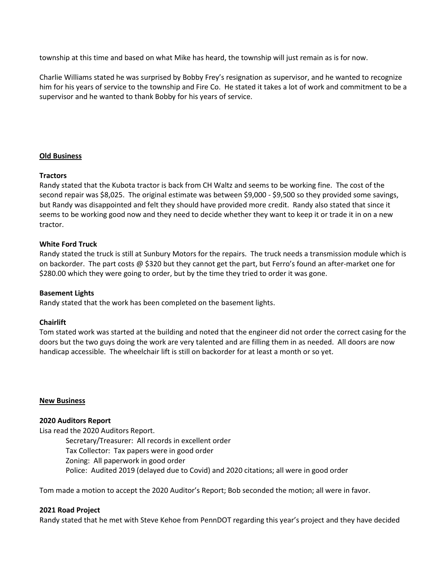township at this time and based on what Mike has heard, the township will just remain as is for now.

Charlie Williams stated he was surprised by Bobby Frey's resignation as supervisor, and he wanted to recognize him for his years of service to the township and Fire Co. He stated it takes a lot of work and commitment to be a supervisor and he wanted to thank Bobby for his years of service.

# **Old Business**

# **Tractors**

Randy stated that the Kubota tractor is back from CH Waltz and seems to be working fine. The cost of the second repair was \$8,025. The original estimate was between \$9,000 - \$9,500 so they provided some savings, but Randy was disappointed and felt they should have provided more credit. Randy also stated that since it seems to be working good now and they need to decide whether they want to keep it or trade it in on a new tractor.

# **White Ford Truck**

Randy stated the truck is still at Sunbury Motors for the repairs. The truck needs a transmission module which is on backorder. The part costs @ \$320 but they cannot get the part, but Ferro's found an after-market one for \$280.00 which they were going to order, but by the time they tried to order it was gone.

# **Basement Lights**

Randy stated that the work has been completed on the basement lights.

### **Chairlift**

Tom stated work was started at the building and noted that the engineer did not order the correct casing for the doors but the two guys doing the work are very talented and are filling them in as needed. All doors are now handicap accessible. The wheelchair lift is still on backorder for at least a month or so yet.

### **New Business**

### **2020 Auditors Report**

Lisa read the 2020 Auditors Report. Secretary/Treasurer: All records in excellent order Tax Collector: Tax papers were in good order Zoning: All paperwork in good order Police: Audited 2019 (delayed due to Covid) and 2020 citations; all were in good order

Tom made a motion to accept the 2020 Auditor's Report; Bob seconded the motion; all were in favor.

# **2021 Road Project**

Randy stated that he met with Steve Kehoe from PennDOT regarding this year's project and they have decided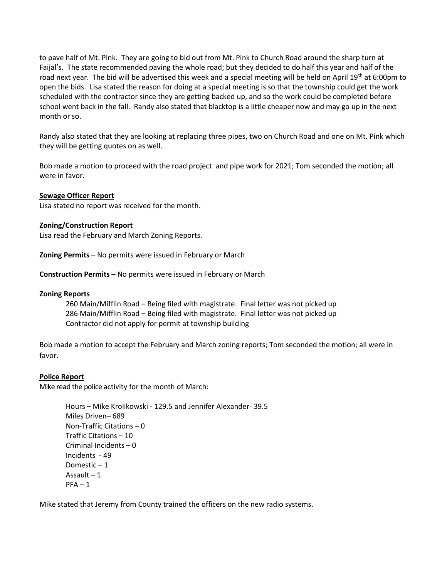to pave half of Mt. Pink. They are going to bid out from Mt. Pink to Church Road around the sharp turn at Faijal's. The state recommended paving the whole road; but they decided to do half this year and half of the road next year. The bid will be advertised this week and a special meeting will be held on April 19<sup>th</sup> at 6:00pm to open the bids. Lisa stated the reason for doing at a special meeting is so that the township could get the work scheduled with the contractor since they are getting backed up, and so the work could be completed before school went back in the fall. Randy also stated that blacktop is a little cheaper now and may go up in the next month or so.

Randy also stated that they are looking at replacing three pipes, two on Church Road and one on Mt. Pink which they will be getting quotes on as well.

Bob made a motion to proceed with the road project and pipe work for 2021; Tom seconded the motion; all were in favor.

# **Sewage Officer Report**

Lisa stated no report was received for the month.

# **Zoning/Construction Report**

Lisa read the February and March Zoning Reports.

**Zoning Permits** – No permits were issued in February or March

**Construction Permits** – No permits were issued in February or March

### **Zoning Reports**

260 Main/Mifflin Road – Being filed with magistrate. Final letter was not picked up 286 Main/Mifflin Road – Being filed with magistrate. Final letter was not picked up Contractor did not apply for permit at township building

Bob made a motion to accept the February and March zoning reports; Tom seconded the motion; all were in favor.

### **Police Report**

Mike read the police activity for the month of March:

Hours – Mike Krolikowski - 129.5 and Jennifer Alexander- 39.5 Miles Driven– 689 Non-Traffic Citations – 0 Traffic Citations – 10 Criminal Incidents – 0 Incidents - 49 Domestic – 1 Assault – 1  $PFA - 1$ 

Mike stated that Jeremy from County trained the officers on the new radio systems.